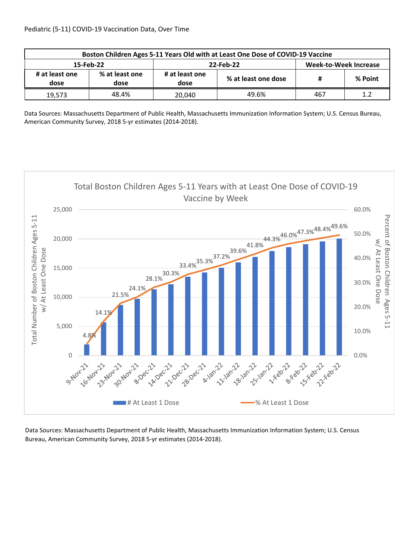| Boston Children Ages 5-11 Years Old with at Least One Dose of COVID-19 Vaccine |                        |                        |                     |                              |         |  |  |
|--------------------------------------------------------------------------------|------------------------|------------------------|---------------------|------------------------------|---------|--|--|
| 15-Feb-22                                                                      |                        |                        | 22-Feb-22           | <b>Week-to-Week Increase</b> |         |  |  |
| # at least one<br>dose                                                         | % at least one<br>dose | # at least one<br>dose | % at least one dose |                              | % Point |  |  |
| 19,573                                                                         | 48.4%                  | 20.040                 | 49.6%               | 467                          | 1.2     |  |  |

Data Sources: Massachusetts Department of Public Health, Massachusetts Immunization Information System; U.S. Census Bureau, American Community Survey, 2018 5‐yr estimates (2014‐2018).



Data Sources: Massachusetts Department of Public Health, Massachusetts Immunization Information System; U.S. Census Bureau, American Community Survey, 2018 5‐yr estimates (2014‐2018).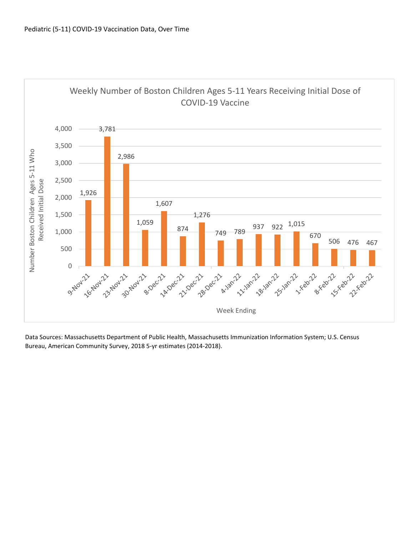

 Bureau, American Community Survey, 2018 5‐yr estimates (2014‐2018).Data Sources: Massachusetts Department of Public Health, Massachusetts Immunization Information System; U.S. Census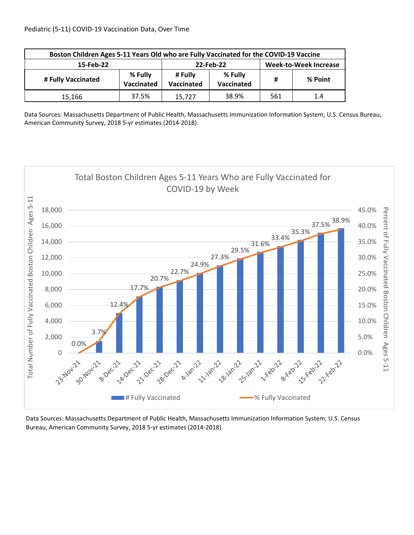| Boston Children Ages 5-11 Years Old who are Fully Vaccinated for the COVID-19 Vaccine |       |                       |                       |                              |         |  |
|---------------------------------------------------------------------------------------|-------|-----------------------|-----------------------|------------------------------|---------|--|
| 15-Feb-22                                                                             |       | 22-Feb-22             |                       | <b>Week-to-Week Increase</b> |         |  |
| % Fully<br># Fully Vaccinated<br>Vaccinated                                           |       | # Fully<br>Vaccinated | % Fully<br>Vaccinated | Ħ                            | % Point |  |
| 15,166                                                                                | 37.5% | 15,727                | 38.9%                 | 561                          | 1.4     |  |

Data Sources: Massachusetts Department of Public Health, Massachusetts Immunization Information System; U.S. Census Bureau, American Community Survey, 2018 5‐yr estimates (2014‐2018).



Data Sources: Massachusetts Department of Public Health, Massachusetts Immunization Information System; U.S. Census Bureau, American Community Survey, 2018 5‐yr estimates (2014‐2018).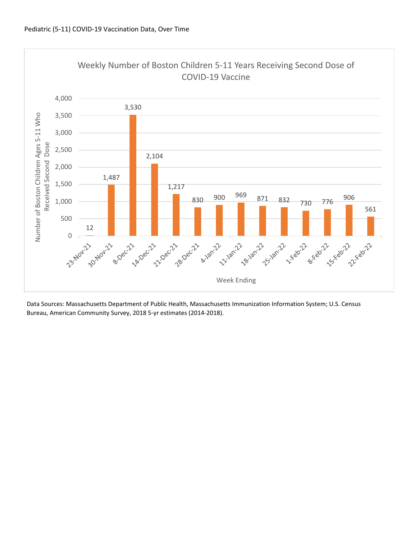

Data Sources: Massachusetts Department of Public Health, Massachusetts Immunization Information System; U.S. Census Bureau, American Community Survey, 2018 5‐yr estimates (2014‐2018).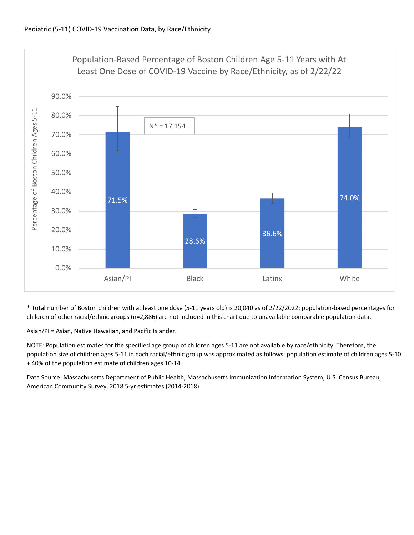

\* Total number of Boston children with at least one dose (5‐11 years old) is 20,040 as of 2/22/2022; population‐based percentages for children of other racial/ethnic groups (n=2,886) are not included in this chart due to unavailable comparable population data.

Asian/PI = Asian, Native Hawaiian, and Pacific Islander.

NOTE: Population estimates for the specified age group of children ages 5‐11 are not available by race/ethnicity. Therefore, the population size of children ages 5‐11 in each racial/ethnic group was approximated as follows: population estimate of children ages 5‐10 + 40% of the population estimate of children ages 10‐14.

Data Source: Massachusetts Department of Public Health, Massachusetts Immunization Information System; U.S. Census Bureau, American Community Survey, 2018 5‐yr estimates (2014‐2018).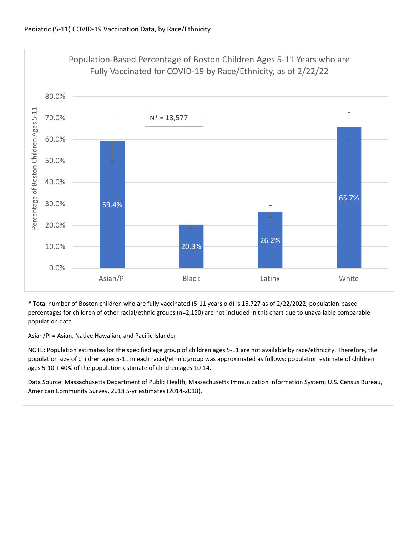

\* Total number of Boston children who are fully vaccinated (5‐11 years old) is 15,727 as of 2/22/2022; population‐based percentages for children of other racial/ethnic groups (n=2,150) are not included in this chart due to unavailable comparable population data.

Asian/PI = Asian, Native Hawaiian, and Pacific Islander.

NOTE: Population estimates for the specified age group of children ages 5‐11 are not available by race/ethnicity. Therefore, the population size of children ages 5‐11 in each racial/ethnic group was approximated as follows: population estimate of children ages 5‐10 + 40% of the population estimate of children ages 10‐14.

Data Source: Massachusetts Department of Public Health, Massachusetts Immunization Information System; U.S. Census Bureau, American Community Survey, 2018 5‐yr estimates (2014‐2018).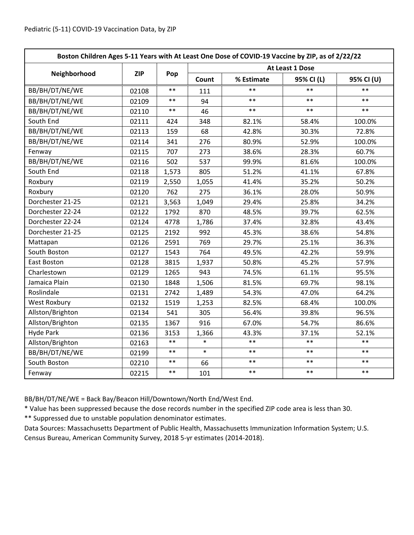| Boston Children Ages 5-11 Years with At Least One Dose of COVID-19 Vaccine by ZIP, as of 2/22/22 |            |       |                 |            |            |            |  |
|--------------------------------------------------------------------------------------------------|------------|-------|-----------------|------------|------------|------------|--|
|                                                                                                  | <b>ZIP</b> | Pop   | At Least 1 Dose |            |            |            |  |
| Neighborhood                                                                                     |            |       | Count           | % Estimate | 95% CI (L) | 95% CI (U) |  |
| BB/BH/DT/NE/WE                                                                                   | 02108      | $***$ | 111             | $\ast\ast$ | $***$      | $**$       |  |
| BB/BH/DT/NE/WE                                                                                   | 02109      | $***$ | 94              | $**$       | $**$       | $***$      |  |
| BB/BH/DT/NE/WE                                                                                   | 02110      | $***$ | 46              | $**$       | $**$       | $***$      |  |
| South End                                                                                        | 02111      | 424   | 348             | 82.1%      | 58.4%      | 100.0%     |  |
| BB/BH/DT/NE/WE                                                                                   | 02113      | 159   | 68              | 42.8%      | 30.3%      | 72.8%      |  |
| BB/BH/DT/NE/WE                                                                                   | 02114      | 341   | 276             | 80.9%      | 52.9%      | 100.0%     |  |
| Fenway                                                                                           | 02115      | 707   | 273             | 38.6%      | 28.3%      | 60.7%      |  |
| BB/BH/DT/NE/WE                                                                                   | 02116      | 502   | 537             | 99.9%      | 81.6%      | 100.0%     |  |
| South End                                                                                        | 02118      | 1,573 | 805             | 51.2%      | 41.1%      | 67.8%      |  |
| Roxbury                                                                                          | 02119      | 2,550 | 1,055           | 41.4%      | 35.2%      | 50.2%      |  |
| Roxbury                                                                                          | 02120      | 762   | 275             | 36.1%      | 28.0%      | 50.9%      |  |
| Dorchester 21-25                                                                                 | 02121      | 3,563 | 1,049           | 29.4%      | 25.8%      | 34.2%      |  |
| Dorchester 22-24                                                                                 | 02122      | 1792  | 870             | 48.5%      | 39.7%      | 62.5%      |  |
| Dorchester 22-24                                                                                 | 02124      | 4778  | 1,786           | 37.4%      | 32.8%      | 43.4%      |  |
| Dorchester 21-25                                                                                 | 02125      | 2192  | 992             | 45.3%      | 38.6%      | 54.8%      |  |
| Mattapan                                                                                         | 02126      | 2591  | 769             | 29.7%      | 25.1%      | 36.3%      |  |
| South Boston                                                                                     | 02127      | 1543  | 764             | 49.5%      | 42.2%      | 59.9%      |  |
| East Boston                                                                                      | 02128      | 3815  | 1,937           | 50.8%      | 45.2%      | 57.9%      |  |
| Charlestown                                                                                      | 02129      | 1265  | 943             | 74.5%      | 61.1%      | 95.5%      |  |
| Jamaica Plain                                                                                    | 02130      | 1848  | 1,506           | 81.5%      | 69.7%      | 98.1%      |  |
| Roslindale                                                                                       | 02131      | 2742  | 1,489           | 54.3%      | 47.0%      | 64.2%      |  |
| <b>West Roxbury</b>                                                                              | 02132      | 1519  | 1,253           | 82.5%      | 68.4%      | 100.0%     |  |
| Allston/Brighton                                                                                 | 02134      | 541   | 305             | 56.4%      | 39.8%      | 96.5%      |  |
| Allston/Brighton                                                                                 | 02135      | 1367  | 916             | 67.0%      | 54.7%      | 86.6%      |  |
| <b>Hyde Park</b>                                                                                 | 02136      | 3153  | 1,366           | 43.3%      | 37.1%      | 52.1%      |  |
| Allston/Brighton                                                                                 | 02163      | $***$ | $\ast$          | $***$      | $***$      | $**$       |  |
| BB/BH/DT/NE/WE                                                                                   | 02199      | $***$ | $\ast$          | $***$      | $***$      | $**$       |  |
| South Boston                                                                                     | 02210      | $***$ | 66              | $***$      | $***$      | $***$      |  |
| Fenway                                                                                           | 02215      | $***$ | 101             | $***$      | $***$      | $***$      |  |

BB/BH/DT/NE/WE = Back Bay/Beacon Hill/Downtown/North End/West End.

\* Value has been suppressed because the dose records number in the specified ZIP code area is less than 30.

\*\* Suppressed due to unstable population denominator estimates.

Data Sources: Massachusetts Department of Public Health, Massachusetts Immunization Information System; U.S. Census Bureau, American Community Survey, 2018 5‐yr estimates (2014‐2018).